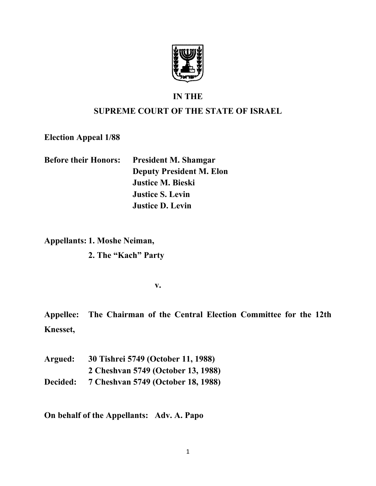

## **IN THE**

# **SUPREME COURT OF THE STATE OF ISRAEL**

**Election Appeal 1/88**

| <b>Before their Honors:</b> | <b>President M. Shamgar</b>     |
|-----------------------------|---------------------------------|
|                             | <b>Deputy President M. Elon</b> |
|                             | <b>Justice M. Bieski</b>        |
|                             | <b>Justice S. Levin</b>         |
|                             | <b>Justice D. Levin</b>         |

**Appellants: 1. Moshe Neiman,**

**2. The "Kach" Party**

**v.**

**Appellee: The Chairman of the Central Election Committee for the 12th Knesset,**

**Argued: 30 Tishrei 5749 (October 11, 1988) 2 Cheshvan 5749 (October 13, 1988) Decided: 7 Cheshvan 5749 (October 18, 1988)**

**On behalf of the Appellants: Adv. A. Papo**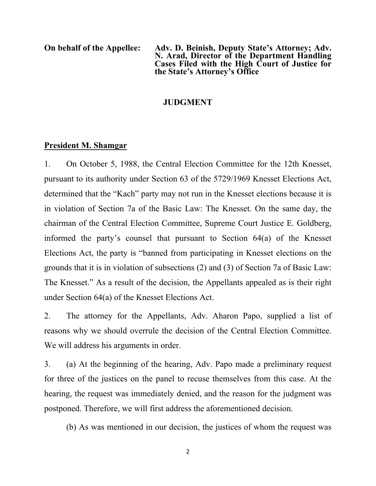**On behalf of the Appellee: Adv. D. Beinish, Deputy State's Attorney; Adv. N. Arad, Director of the Department Handling Cases Filed with the High Court of Justice for the State's Attorney's Office**

### **JUDGMENT**

### **President M. Shamgar**

1. On October 5, 1988, the Central Election Committee for the 12th Knesset, pursuant to its authority under Section 63 of the 5729/1969 Knesset Elections Act, determined that the "Kach" party may not run in the Knesset elections because it is in violation of Section 7a of the Basic Law: The Knesset. On the same day, the chairman of the Central Election Committee, Supreme Court Justice E. Goldberg, informed the party's counsel that pursuant to Section 64(a) of the Knesset Elections Act, the party is "banned from participating in Knesset elections on the grounds that it is in violation of subsections (2) and (3) of Section 7a of Basic Law: The Knesset." As a result of the decision, the Appellants appealed as is their right under Section 64(a) of the Knesset Elections Act.

2. The attorney for the Appellants, Adv. Aharon Papo, supplied a list of reasons why we should overrule the decision of the Central Election Committee. We will address his arguments in order.

3. (a) At the beginning of the hearing, Adv. Papo made a preliminary request for three of the justices on the panel to recuse themselves from this case. At the hearing, the request was immediately denied, and the reason for the judgment was postponed. Therefore, we will first address the aforementioned decision.

(b) As was mentioned in our decision, the justices of whom the request was

2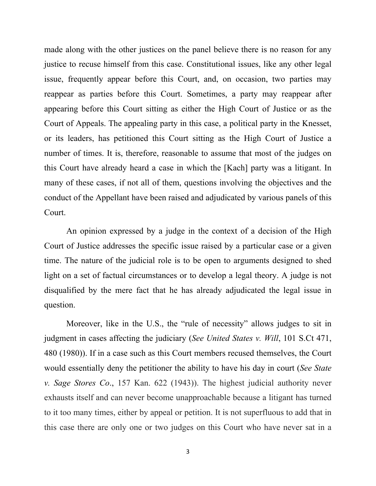made along with the other justices on the panel believe there is no reason for any justice to recuse himself from this case. Constitutional issues, like any other legal issue, frequently appear before this Court, and, on occasion, two parties may reappear as parties before this Court. Sometimes, a party may reappear after appearing before this Court sitting as either the High Court of Justice or as the Court of Appeals. The appealing party in this case, a political party in the Knesset, or its leaders, has petitioned this Court sitting as the High Court of Justice a number of times. It is, therefore, reasonable to assume that most of the judges on this Court have already heard a case in which the [Kach] party was a litigant. In many of these cases, if not all of them, questions involving the objectives and the conduct of the Appellant have been raised and adjudicated by various panels of this Court.

An opinion expressed by a judge in the context of a decision of the High Court of Justice addresses the specific issue raised by a particular case or a given time. The nature of the judicial role is to be open to arguments designed to shed light on a set of factual circumstances or to develop a legal theory. A judge is not disqualified by the mere fact that he has already adjudicated the legal issue in question.

Moreover, like in the U.S., the "rule of necessity" allows judges to sit in judgment in cases affecting the judiciary (*See United States v. Will*, 101 S.Ct 471, 480 (1980)). If in a case such as this Court members recused themselves, the Court would essentially deny the petitioner the ability to have his day in court (*See State v. Sage Stores Co*., 157 Kan. 622 (1943)). The highest judicial authority never exhausts itself and can never become unapproachable because a litigant has turned to it too many times, either by appeal or petition. It is not superfluous to add that in this case there are only one or two judges on this Court who have never sat in a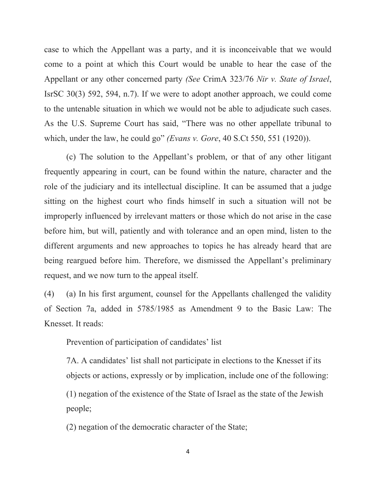case to which the Appellant was a party, and it is inconceivable that we would come to a point at which this Court would be unable to hear the case of the Appellant or any other concerned party *(See* CrimA 323/76 *Nir v. State of Israel*, IsrSC 30(3) 592, 594, n.7). If we were to adopt another approach, we could come to the untenable situation in which we would not be able to adjudicate such cases. As the U.S. Supreme Court has said, "There was no other appellate tribunal to which, under the law, he could go" *(Evans v. Gore*, 40 S.Ct 550, 551 (1920)).

(c) The solution to the Appellant's problem, or that of any other litigant frequently appearing in court, can be found within the nature, character and the role of the judiciary and its intellectual discipline. It can be assumed that a judge sitting on the highest court who finds himself in such a situation will not be improperly influenced by irrelevant matters or those which do not arise in the case before him, but will, patiently and with tolerance and an open mind, listen to the different arguments and new approaches to topics he has already heard that are being reargued before him. Therefore, we dismissed the Appellant's preliminary request, and we now turn to the appeal itself.

(4) (a) In his first argument, counsel for the Appellants challenged the validity of Section 7a, added in 5785/1985 as Amendment 9 to the Basic Law: The Knesset. It reads:

Prevention of participation of candidates' list

7A. A candidates' list shall not participate in elections to the Knesset if its objects or actions, expressly or by implication, include one of the following:

(1) negation of the existence of the State of Israel as the state of the Jewish people;

(2) negation of the democratic character of the State;

4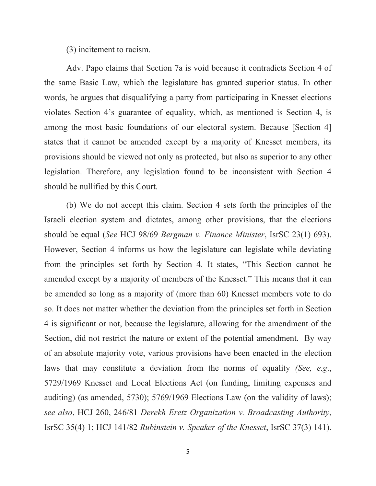(3) incitement to racism.

Adv. Papo claims that Section 7a is void because it contradicts Section 4 of the same Basic Law, which the legislature has granted superior status. In other words, he argues that disqualifying a party from participating in Knesset elections violates Section 4's guarantee of equality, which, as mentioned is Section 4, is among the most basic foundations of our electoral system. Because [Section 4] states that it cannot be amended except by a majority of Knesset members, its provisions should be viewed not only as protected, but also as superior to any other legislation. Therefore, any legislation found to be inconsistent with Section 4 should be nullified by this Court.

(b) We do not accept this claim. Section 4 sets forth the principles of the Israeli election system and dictates, among other provisions, that the elections should be equal (*See* HCJ 98/69 *Bergman v. Finance Minister*, IsrSC 23(1) 693). However, Section 4 informs us how the legislature can legislate while deviating from the principles set forth by Section 4. It states, "This Section cannot be amended except by a majority of members of the Knesset." This means that it can be amended so long as a majority of (more than 60) Knesset members vote to do so. It does not matter whether the deviation from the principles set forth in Section 4 is significant or not, because the legislature, allowing for the amendment of the Section, did not restrict the nature or extent of the potential amendment. By way of an absolute majority vote, various provisions have been enacted in the election laws that may constitute a deviation from the norms of equality *(See, e.g*., 5729/1969 Knesset and Local Elections Act (on funding, limiting expenses and auditing) (as amended, 5730); 5769/1969 Elections Law (on the validity of laws); *see also*, HCJ 260, 246/81 *Derekh Eretz Organization v. Broadcasting Authority*, IsrSC 35(4) 1; HCJ 141/82 *Rubinstein v. Speaker of the Knesset*, IsrSC 37(3) 141).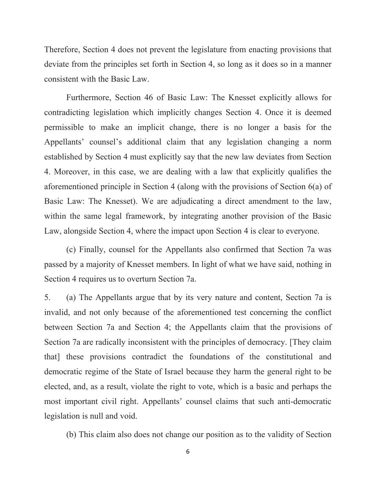Therefore, Section 4 does not prevent the legislature from enacting provisions that deviate from the principles set forth in Section 4, so long as it does so in a manner consistent with the Basic Law.

Furthermore, Section 46 of Basic Law: The Knesset explicitly allows for contradicting legislation which implicitly changes Section 4. Once it is deemed permissible to make an implicit change, there is no longer a basis for the Appellants' counsel's additional claim that any legislation changing a norm established by Section 4 must explicitly say that the new law deviates from Section 4. Moreover, in this case, we are dealing with a law that explicitly qualifies the aforementioned principle in Section 4 (along with the provisions of Section 6(a) of Basic Law: The Knesset). We are adjudicating a direct amendment to the law, within the same legal framework, by integrating another provision of the Basic Law, alongside Section 4, where the impact upon Section 4 is clear to everyone.

(c) Finally, counsel for the Appellants also confirmed that Section 7a was passed by a majority of Knesset members. In light of what we have said, nothing in Section 4 requires us to overturn Section 7a.

5. (a) The Appellants argue that by its very nature and content, Section 7a is invalid, and not only because of the aforementioned test concerning the conflict between Section 7a and Section 4; the Appellants claim that the provisions of Section 7a are radically inconsistent with the principles of democracy. [They claim that] these provisions contradict the foundations of the constitutional and democratic regime of the State of Israel because they harm the general right to be elected, and, as a result, violate the right to vote, which is a basic and perhaps the most important civil right. Appellants' counsel claims that such anti-democratic legislation is null and void.

(b) This claim also does not change our position as to the validity of Section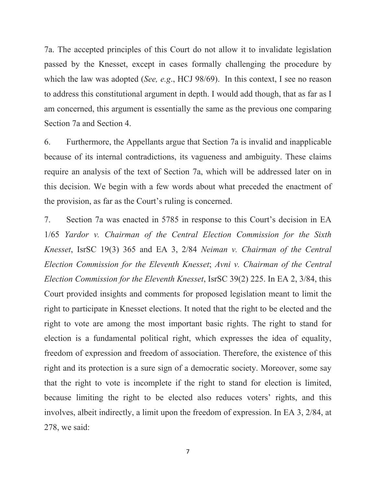7a. The accepted principles of this Court do not allow it to invalidate legislation passed by the Knesset, except in cases formally challenging the procedure by which the law was adopted (*See, e.g*., HCJ 98/69). In this context, I see no reason to address this constitutional argument in depth. I would add though, that as far as I am concerned, this argument is essentially the same as the previous one comparing Section 7a and Section 4.

6. Furthermore, the Appellants argue that Section 7a is invalid and inapplicable because of its internal contradictions, its vagueness and ambiguity. These claims require an analysis of the text of Section 7a, which will be addressed later on in this decision. We begin with a few words about what preceded the enactment of the provision, as far as the Court's ruling is concerned.

7. Section 7a was enacted in 5785 in response to this Court's decision in EA 1/65 *Yardor v. Chairman of the Central Election Commission for the Sixth Knesset*, IsrSC 19(3) 365 and EA 3, 2/84 *Neiman v. Chairman of the Central Election Commission for the Eleventh Knesset*; *Avni v. Chairman of the Central Election Commission for the Eleventh Knesset*, IsrSC 39(2) 225. In EA 2, 3/84, this Court provided insights and comments for proposed legislation meant to limit the right to participate in Knesset elections. It noted that the right to be elected and the right to vote are among the most important basic rights. The right to stand for election is a fundamental political right, which expresses the idea of equality, freedom of expression and freedom of association. Therefore, the existence of this right and its protection is a sure sign of a democratic society. Moreover, some say that the right to vote is incomplete if the right to stand for election is limited, because limiting the right to be elected also reduces voters' rights, and this involves, albeit indirectly, a limit upon the freedom of expression. In EA 3, 2/84, at 278, we said: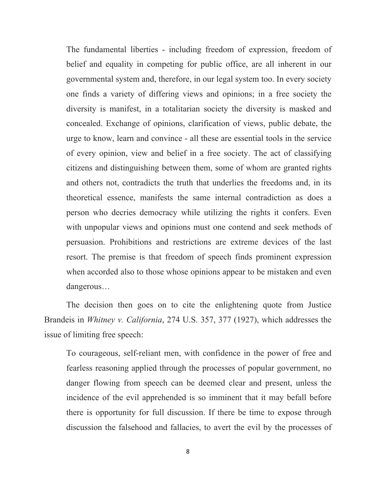The fundamental liberties - including freedom of expression, freedom of belief and equality in competing for public office, are all inherent in our governmental system and, therefore, in our legal system too. In every society one finds a variety of differing views and opinions; in a free society the diversity is manifest, in a totalitarian society the diversity is masked and concealed. Exchange of opinions, clarification of views, public debate, the urge to know, learn and convince - all these are essential tools in the service of every opinion, view and belief in a free society. The act of classifying citizens and distinguishing between them, some of whom are granted rights and others not, contradicts the truth that underlies the freedoms and, in its theoretical essence, manifests the same internal contradiction as does a person who decries democracy while utilizing the rights it confers. Even with unpopular views and opinions must one contend and seek methods of persuasion. Prohibitions and restrictions are extreme devices of the last resort. The premise is that freedom of speech finds prominent expression when accorded also to those whose opinions appear to be mistaken and even dangerous…

The decision then goes on to cite the enlightening quote from Justice Brandeis in *Whitney v. California*, 274 U.S. 357, 377 (1927), which addresses the issue of limiting free speech:

To courageous, self-reliant men, with confidence in the power of free and fearless reasoning applied through the processes of popular government, no danger flowing from speech can be deemed clear and present, unless the incidence of the evil apprehended is so imminent that it may befall before there is opportunity for full discussion. If there be time to expose through discussion the falsehood and fallacies, to avert the evil by the processes of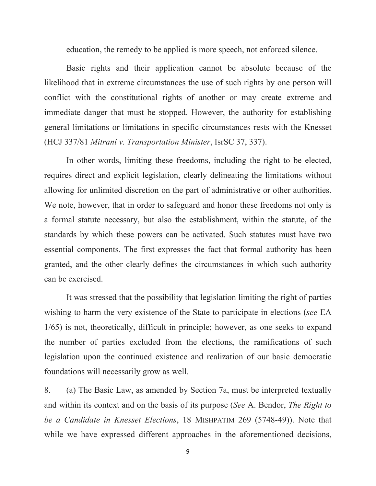education, the remedy to be applied is more speech, not enforced silence.

Basic rights and their application cannot be absolute because of the likelihood that in extreme circumstances the use of such rights by one person will conflict with the constitutional rights of another or may create extreme and immediate danger that must be stopped. However, the authority for establishing general limitations or limitations in specific circumstances rests with the Knesset (HCJ 337/81 *Mitrani v. Transportation Minister*, IsrSC 37, 337).

In other words, limiting these freedoms, including the right to be elected, requires direct and explicit legislation, clearly delineating the limitations without allowing for unlimited discretion on the part of administrative or other authorities. We note, however, that in order to safeguard and honor these freedoms not only is a formal statute necessary, but also the establishment, within the statute, of the standards by which these powers can be activated. Such statutes must have two essential components. The first expresses the fact that formal authority has been granted, and the other clearly defines the circumstances in which such authority can be exercised.

It was stressed that the possibility that legislation limiting the right of parties wishing to harm the very existence of the State to participate in elections (*see* EA 1/65) is not, theoretically, difficult in principle; however, as one seeks to expand the number of parties excluded from the elections, the ramifications of such legislation upon the continued existence and realization of our basic democratic foundations will necessarily grow as well.

8. (a) The Basic Law, as amended by Section 7a, must be interpreted textually and within its context and on the basis of its purpose (*See* A. Bendor, *The Right to be a Candidate in Knesset Elections*, 18 MISHPATIM 269 (5748-49)). Note that while we have expressed different approaches in the aforementioned decisions,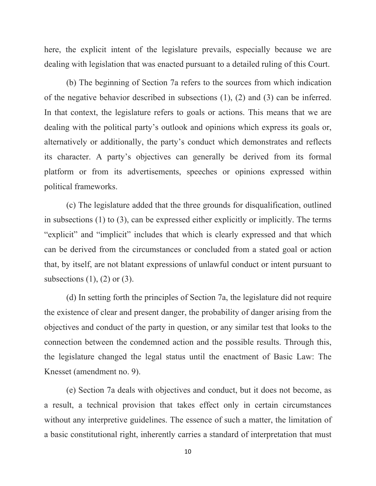here, the explicit intent of the legislature prevails, especially because we are dealing with legislation that was enacted pursuant to a detailed ruling of this Court.

(b) The beginning of Section 7a refers to the sources from which indication of the negative behavior described in subsections (1), (2) and (3) can be inferred. In that context, the legislature refers to goals or actions. This means that we are dealing with the political party's outlook and opinions which express its goals or, alternatively or additionally, the party's conduct which demonstrates and reflects its character. A party's objectives can generally be derived from its formal platform or from its advertisements, speeches or opinions expressed within political frameworks.

(c) The legislature added that the three grounds for disqualification, outlined in subsections (1) to (3), can be expressed either explicitly or implicitly. The terms "explicit" and "implicit" includes that which is clearly expressed and that which can be derived from the circumstances or concluded from a stated goal or action that, by itself, are not blatant expressions of unlawful conduct or intent pursuant to subsections  $(1)$ ,  $(2)$  or  $(3)$ .

(d) In setting forth the principles of Section 7a, the legislature did not require the existence of clear and present danger, the probability of danger arising from the objectives and conduct of the party in question, or any similar test that looks to the connection between the condemned action and the possible results. Through this, the legislature changed the legal status until the enactment of Basic Law: The Knesset (amendment no. 9).

(e) Section 7a deals with objectives and conduct, but it does not become, as a result, a technical provision that takes effect only in certain circumstances without any interpretive guidelines. The essence of such a matter, the limitation of a basic constitutional right, inherently carries a standard of interpretation that must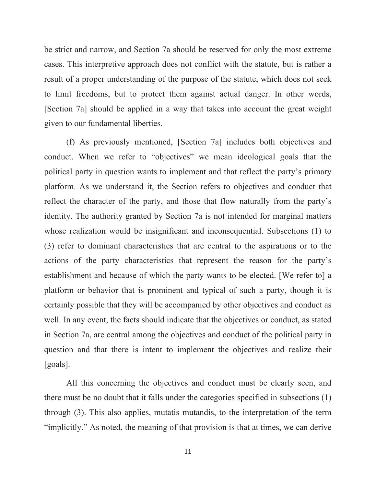be strict and narrow, and Section 7a should be reserved for only the most extreme cases. This interpretive approach does not conflict with the statute, but is rather a result of a proper understanding of the purpose of the statute, which does not seek to limit freedoms, but to protect them against actual danger. In other words, [Section 7a] should be applied in a way that takes into account the great weight given to our fundamental liberties.

(f) As previously mentioned, [Section 7a] includes both objectives and conduct. When we refer to "objectives" we mean ideological goals that the political party in question wants to implement and that reflect the party's primary platform. As we understand it, the Section refers to objectives and conduct that reflect the character of the party, and those that flow naturally from the party's identity. The authority granted by Section 7a is not intended for marginal matters whose realization would be insignificant and inconsequential. Subsections (1) to (3) refer to dominant characteristics that are central to the aspirations or to the actions of the party characteristics that represent the reason for the party's establishment and because of which the party wants to be elected. [We refer to] a platform or behavior that is prominent and typical of such a party, though it is certainly possible that they will be accompanied by other objectives and conduct as well. In any event, the facts should indicate that the objectives or conduct, as stated in Section 7a, are central among the objectives and conduct of the political party in question and that there is intent to implement the objectives and realize their [goals].

All this concerning the objectives and conduct must be clearly seen, and there must be no doubt that it falls under the categories specified in subsections (1) through (3). This also applies, mutatis mutandis, to the interpretation of the term "implicitly." As noted, the meaning of that provision is that at times, we can derive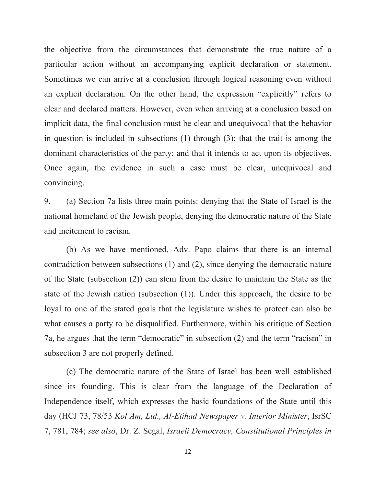the objective from the circumstances that demonstrate the true nature of a particular action without an accompanying explicit declaration or statement. Sometimes we can arrive at a conclusion through logical reasoning even without an explicit declaration. On the other hand, the expression "explicitly" refers to clear and declared matters. However, even when arriving at a conclusion based on implicit data, the final conclusion must be clear and unequivocal that the behavior in question is included in subsections (1) through (3); that the trait is among the dominant characteristics of the party; and that it intends to act upon its objectives. Once again, the evidence in such a case must be clear, unequivocal and convincing.

9. (a) Section 7a lists three main points: denying that the State of Israel is the national homeland of the Jewish people, denying the democratic nature of the State and incitement to racism.

(b) As we have mentioned, Adv. Papo claims that there is an internal contradiction between subsections (1) and (2), since denying the democratic nature of the State (subsection (2)) can stem from the desire to maintain the State as the state of the Jewish nation (subsection (1)). Under this approach, the desire to be loyal to one of the stated goals that the legislature wishes to protect can also be what causes a party to be disqualified. Furthermore, within his critique of Section 7a, he argues that the term "democratic" in subsection (2) and the term "racism" in subsection 3 are not properly defined.

(c) The democratic nature of the State of Israel has been well established since its founding. This is clear from the language of the Declaration of Independence itself, which expresses the basic foundations of the State until this day (HCJ 73, 78/53 *Kol Am, Ltd., Al-Etihad Newspaper v. Interior Minister*, IsrSC 7, 781, 784; *see also*, Dr. Z. Segal, *Israeli Democracy, Constitutional Principles in*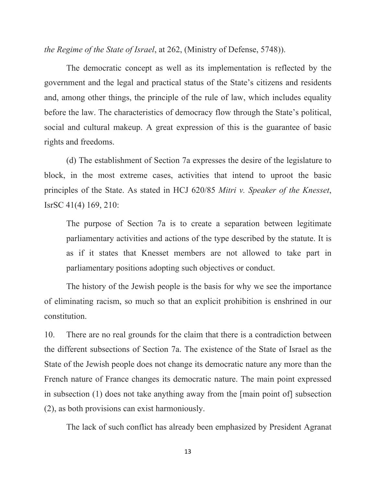*the Regime of the State of Israel*, at 262, (Ministry of Defense, 5748)).

The democratic concept as well as its implementation is reflected by the government and the legal and practical status of the State's citizens and residents and, among other things, the principle of the rule of law, which includes equality before the law. The characteristics of democracy flow through the State's political, social and cultural makeup. A great expression of this is the guarantee of basic rights and freedoms.

(d) The establishment of Section 7a expresses the desire of the legislature to block, in the most extreme cases, activities that intend to uproot the basic principles of the State. As stated in HCJ 620/85 *Mitri v. Speaker of the Knesset*, IsrSC 41(4) 169, 210:

The purpose of Section 7a is to create a separation between legitimate parliamentary activities and actions of the type described by the statute. It is as if it states that Knesset members are not allowed to take part in parliamentary positions adopting such objectives or conduct.

The history of the Jewish people is the basis for why we see the importance of eliminating racism, so much so that an explicit prohibition is enshrined in our constitution.

10. There are no real grounds for the claim that there is a contradiction between the different subsections of Section 7a. The existence of the State of Israel as the State of the Jewish people does not change its democratic nature any more than the French nature of France changes its democratic nature. The main point expressed in subsection (1) does not take anything away from the [main point of] subsection (2), as both provisions can exist harmoniously.

The lack of such conflict has already been emphasized by President Agranat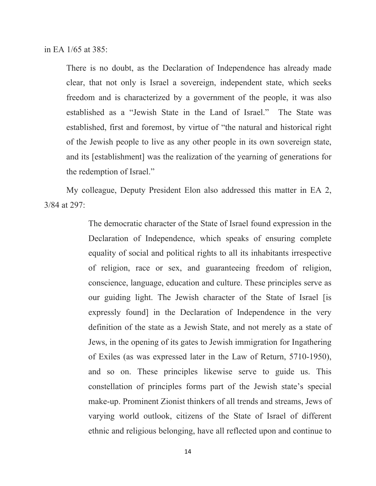in EA 1/65 at 385:

There is no doubt, as the Declaration of Independence has already made clear, that not only is Israel a sovereign, independent state, which seeks freedom and is characterized by a government of the people, it was also established as a "Jewish State in the Land of Israel." The State was established, first and foremost, by virtue of "the natural and historical right of the Jewish people to live as any other people in its own sovereign state, and its [establishment] was the realization of the yearning of generations for the redemption of Israel."

My colleague, Deputy President Elon also addressed this matter in EA 2, 3/84 at 297:

> The democratic character of the State of Israel found expression in the Declaration of Independence, which speaks of ensuring complete equality of social and political rights to all its inhabitants irrespective of religion, race or sex, and guaranteeing freedom of religion, conscience, language, education and culture. These principles serve as our guiding light. The Jewish character of the State of Israel [is expressly found] in the Declaration of Independence in the very definition of the state as a Jewish State, and not merely as a state of Jews, in the opening of its gates to Jewish immigration for Ingathering of Exiles (as was expressed later in the Law of Return, 5710-1950), and so on. These principles likewise serve to guide us. This constellation of principles forms part of the Jewish state's special make-up. Prominent Zionist thinkers of all trends and streams, Jews of varying world outlook, citizens of the State of Israel of different ethnic and religious belonging, have all reflected upon and continue to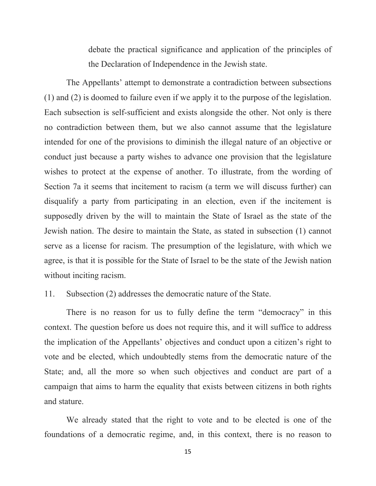debate the practical significance and application of the principles of the Declaration of Independence in the Jewish state.

The Appellants' attempt to demonstrate a contradiction between subsections (1) and (2) is doomed to failure even if we apply it to the purpose of the legislation. Each subsection is self-sufficient and exists alongside the other. Not only is there no contradiction between them, but we also cannot assume that the legislature intended for one of the provisions to diminish the illegal nature of an objective or conduct just because a party wishes to advance one provision that the legislature wishes to protect at the expense of another. To illustrate, from the wording of Section 7a it seems that incitement to racism (a term we will discuss further) can disqualify a party from participating in an election, even if the incitement is supposedly driven by the will to maintain the State of Israel as the state of the Jewish nation. The desire to maintain the State, as stated in subsection (1) cannot serve as a license for racism. The presumption of the legislature, with which we agree, is that it is possible for the State of Israel to be the state of the Jewish nation without inciting racism.

#### 11. Subsection (2) addresses the democratic nature of the State.

There is no reason for us to fully define the term "democracy" in this context. The question before us does not require this, and it will suffice to address the implication of the Appellants' objectives and conduct upon a citizen's right to vote and be elected, which undoubtedly stems from the democratic nature of the State; and, all the more so when such objectives and conduct are part of a campaign that aims to harm the equality that exists between citizens in both rights and stature.

We already stated that the right to vote and to be elected is one of the foundations of a democratic regime, and, in this context, there is no reason to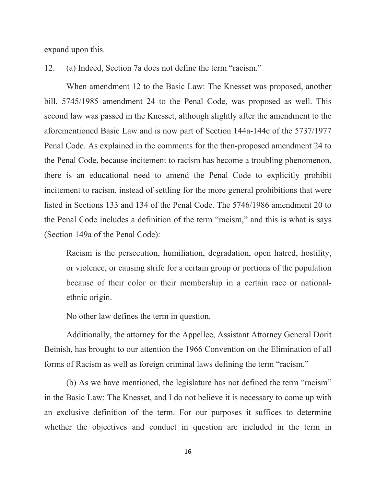expand upon this.

12. (a) Indeed, Section 7a does not define the term "racism."

When amendment 12 to the Basic Law: The Knesset was proposed, another bill, 5745/1985 amendment 24 to the Penal Code, was proposed as well. This second law was passed in the Knesset, although slightly after the amendment to the aforementioned Basic Law and is now part of Section 144a-144e of the 5737/1977 Penal Code. As explained in the comments for the then-proposed amendment 24 to the Penal Code, because incitement to racism has become a troubling phenomenon, there is an educational need to amend the Penal Code to explicitly prohibit incitement to racism, instead of settling for the more general prohibitions that were listed in Sections 133 and 134 of the Penal Code. The 5746/1986 amendment 20 to the Penal Code includes a definition of the term "racism," and this is what is says (Section 149a of the Penal Code):

Racism is the persecution, humiliation, degradation, open hatred, hostility, or violence, or causing strife for a certain group or portions of the population because of their color or their membership in a certain race or nationalethnic origin.

No other law defines the term in question.

Additionally, the attorney for the Appellee, Assistant Attorney General Dorit Beinish, has brought to our attention the 1966 Convention on the Elimination of all forms of Racism as well as foreign criminal laws defining the term "racism."

(b) As we have mentioned, the legislature has not defined the term "racism" in the Basic Law: The Knesset, and I do not believe it is necessary to come up with an exclusive definition of the term. For our purposes it suffices to determine whether the objectives and conduct in question are included in the term in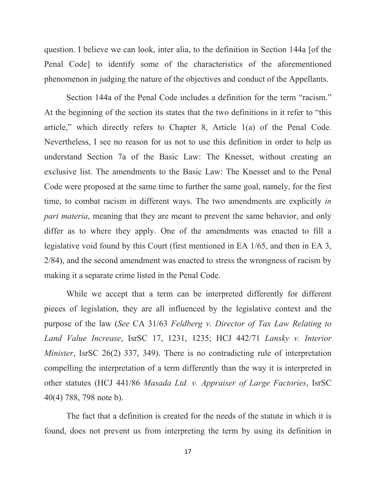question. I believe we can look, inter alia, to the definition in Section 144a [of the Penal Code] to identify some of the characteristics of the aforementioned phenomenon in judging the nature of the objectives and conduct of the Appellants.

Section 144a of the Penal Code includes a definition for the term "racism." At the beginning of the section its states that the two definitions in it refer to "this article," which directly refers to Chapter 8, Article 1(a) of the Penal Code. Nevertheless, I see no reason for us not to use this definition in order to help us understand Section 7a of the Basic Law: The Knesset, without creating an exclusive list. The amendments to the Basic Law: The Knesset and to the Penal Code were proposed at the same time to further the same goal, namely, for the first time, to combat racism in different ways. The two amendments are explicitly *in pari materia*, meaning that they are meant to prevent the same behavior, and only differ as to where they apply. One of the amendments was enacted to fill a legislative void found by this Court (first mentioned in EA 1/65, and then in EA 3, 2/84), and the second amendment was enacted to stress the wrongness of racism by making it a separate crime listed in the Penal Code.

While we accept that a term can be interpreted differently for different pieces of legislation, they are all influenced by the legislative context and the purpose of the law (*See* CA 31/63 *Feldberg v. Director of Tax Law Relating to Land Value Increase*, IsrSC 17, 1231, 1235; HCJ 442/71 *Lansky v. Interior Minister*, IsrSC 26(2) 337, 349). There is no contradicting rule of interpretation compelling the interpretation of a term differently than the way it is interpreted in other statutes (HCJ 441/86 *Masada Ltd. v. Appraiser of Large Factories*, IsrSC 40(4) 788, 798 note b).

The fact that a definition is created for the needs of the statute in which it is found, does not prevent us from interpreting the term by using its definition in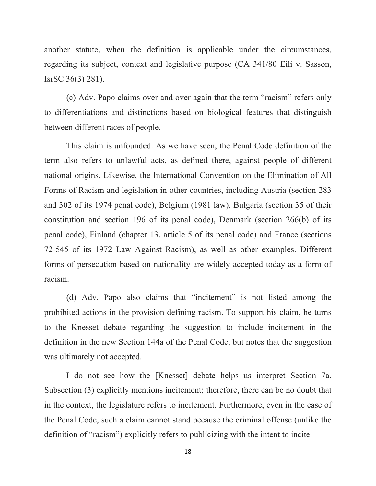another statute, when the definition is applicable under the circumstances, regarding its subject, context and legislative purpose (CA 341/80 Eili v. Sasson, IsrSC 36(3) 281).

(c) Adv. Papo claims over and over again that the term "racism" refers only to differentiations and distinctions based on biological features that distinguish between different races of people.

This claim is unfounded. As we have seen, the Penal Code definition of the term also refers to unlawful acts, as defined there, against people of different national origins. Likewise, the International Convention on the Elimination of All Forms of Racism and legislation in other countries, including Austria (section 283 and 302 of its 1974 penal code), Belgium (1981 law), Bulgaria (section 35 of their constitution and section 196 of its penal code), Denmark (section 266(b) of its penal code), Finland (chapter 13, article 5 of its penal code) and France (sections 72-545 of its 1972 Law Against Racism), as well as other examples. Different forms of persecution based on nationality are widely accepted today as a form of racism.

(d) Adv. Papo also claims that "incitement" is not listed among the prohibited actions in the provision defining racism. To support his claim, he turns to the Knesset debate regarding the suggestion to include incitement in the definition in the new Section 144a of the Penal Code, but notes that the suggestion was ultimately not accepted.

I do not see how the [Knesset] debate helps us interpret Section 7a. Subsection (3) explicitly mentions incitement; therefore, there can be no doubt that in the context, the legislature refers to incitement. Furthermore, even in the case of the Penal Code, such a claim cannot stand because the criminal offense (unlike the definition of "racism") explicitly refers to publicizing with the intent to incite.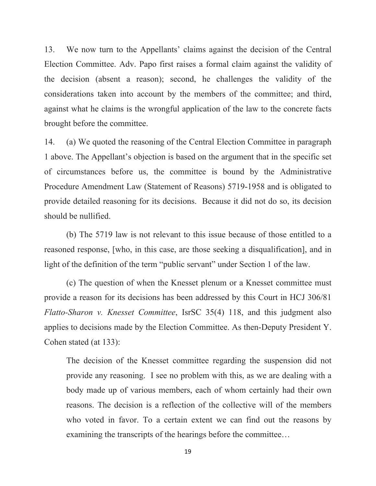13. We now turn to the Appellants' claims against the decision of the Central Election Committee. Adv. Papo first raises a formal claim against the validity of the decision (absent a reason); second, he challenges the validity of the considerations taken into account by the members of the committee; and third, against what he claims is the wrongful application of the law to the concrete facts brought before the committee.

14. (a) We quoted the reasoning of the Central Election Committee in paragraph 1 above. The Appellant's objection is based on the argument that in the specific set of circumstances before us, the committee is bound by the Administrative Procedure Amendment Law (Statement of Reasons) 5719-1958 and is obligated to provide detailed reasoning for its decisions. Because it did not do so, its decision should be nullified.

(b) The 5719 law is not relevant to this issue because of those entitled to a reasoned response, [who, in this case, are those seeking a disqualification], and in light of the definition of the term "public servant" under Section 1 of the law.

(c) The question of when the Knesset plenum or a Knesset committee must provide a reason for its decisions has been addressed by this Court in HCJ 306/81 *Flatto-Sharon v. Knesset Committee*, IsrSC 35(4) 118, and this judgment also applies to decisions made by the Election Committee. As then-Deputy President Y. Cohen stated (at 133):

The decision of the Knesset committee regarding the suspension did not provide any reasoning. I see no problem with this, as we are dealing with a body made up of various members, each of whom certainly had their own reasons. The decision is a reflection of the collective will of the members who voted in favor. To a certain extent we can find out the reasons by examining the transcripts of the hearings before the committee…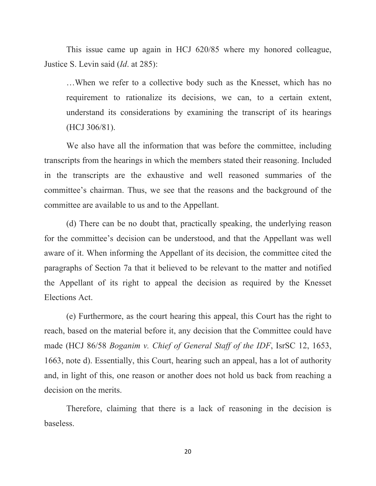This issue came up again in HCJ 620/85 where my honored colleague, Justice S. Levin said (*Id*. at 285):

…When we refer to a collective body such as the Knesset, which has no requirement to rationalize its decisions, we can, to a certain extent, understand its considerations by examining the transcript of its hearings (HCJ 306/81).

We also have all the information that was before the committee, including transcripts from the hearings in which the members stated their reasoning. Included in the transcripts are the exhaustive and well reasoned summaries of the committee's chairman. Thus, we see that the reasons and the background of the committee are available to us and to the Appellant.

(d) There can be no doubt that, practically speaking, the underlying reason for the committee's decision can be understood, and that the Appellant was well aware of it. When informing the Appellant of its decision, the committee cited the paragraphs of Section 7a that it believed to be relevant to the matter and notified the Appellant of its right to appeal the decision as required by the Knesset Elections Act.

(e) Furthermore, as the court hearing this appeal, this Court has the right to reach, based on the material before it, any decision that the Committee could have made (HCJ 86/58 *Boganim v. Chief of General Staff of the IDF*, IsrSC 12, 1653, 1663, note d). Essentially, this Court, hearing such an appeal, has a lot of authority and, in light of this, one reason or another does not hold us back from reaching a decision on the merits.

Therefore, claiming that there is a lack of reasoning in the decision is baseless.

20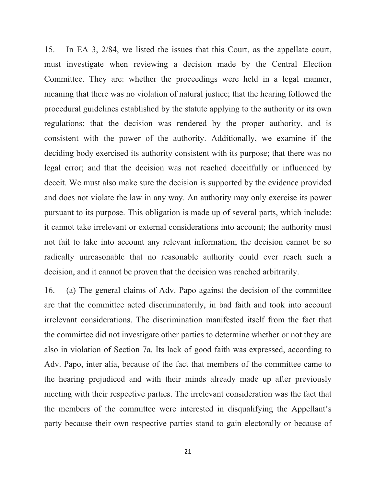15. In EA 3, 2/84, we listed the issues that this Court, as the appellate court, must investigate when reviewing a decision made by the Central Election Committee. They are: whether the proceedings were held in a legal manner, meaning that there was no violation of natural justice; that the hearing followed the procedural guidelines established by the statute applying to the authority or its own regulations; that the decision was rendered by the proper authority, and is consistent with the power of the authority. Additionally, we examine if the deciding body exercised its authority consistent with its purpose; that there was no legal error; and that the decision was not reached deceitfully or influenced by deceit. We must also make sure the decision is supported by the evidence provided and does not violate the law in any way. An authority may only exercise its power pursuant to its purpose. This obligation is made up of several parts, which include: it cannot take irrelevant or external considerations into account; the authority must not fail to take into account any relevant information; the decision cannot be so radically unreasonable that no reasonable authority could ever reach such a decision, and it cannot be proven that the decision was reached arbitrarily.

16. (a) The general claims of Adv. Papo against the decision of the committee are that the committee acted discriminatorily, in bad faith and took into account irrelevant considerations. The discrimination manifested itself from the fact that the committee did not investigate other parties to determine whether or not they are also in violation of Section 7a. Its lack of good faith was expressed, according to Adv. Papo, inter alia, because of the fact that members of the committee came to the hearing prejudiced and with their minds already made up after previously meeting with their respective parties. The irrelevant consideration was the fact that the members of the committee were interested in disqualifying the Appellant's party because their own respective parties stand to gain electorally or because of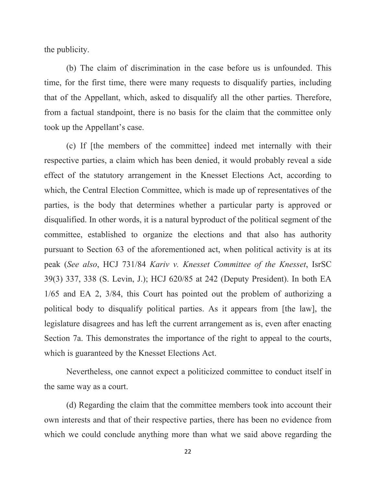the publicity.

(b) The claim of discrimination in the case before us is unfounded. This time, for the first time, there were many requests to disqualify parties, including that of the Appellant, which, asked to disqualify all the other parties. Therefore, from a factual standpoint, there is no basis for the claim that the committee only took up the Appellant's case.

(c) If [the members of the committee] indeed met internally with their respective parties, a claim which has been denied, it would probably reveal a side effect of the statutory arrangement in the Knesset Elections Act, according to which, the Central Election Committee, which is made up of representatives of the parties, is the body that determines whether a particular party is approved or disqualified. In other words, it is a natural byproduct of the political segment of the committee, established to organize the elections and that also has authority pursuant to Section 63 of the aforementioned act, when political activity is at its peak (*See also*, HCJ 731/84 *Kariv v. Knesset Committee of the Knesset*, IsrSC 39(3) 337, 338 (S. Levin, J.); HCJ 620/85 at 242 (Deputy President). In both EA 1/65 and EA 2, 3/84, this Court has pointed out the problem of authorizing a political body to disqualify political parties. As it appears from [the law], the legislature disagrees and has left the current arrangement as is, even after enacting Section 7a. This demonstrates the importance of the right to appeal to the courts, which is guaranteed by the Knesset Elections Act.

Nevertheless, one cannot expect a politicized committee to conduct itself in the same way as a court.

(d) Regarding the claim that the committee members took into account their own interests and that of their respective parties, there has been no evidence from which we could conclude anything more than what we said above regarding the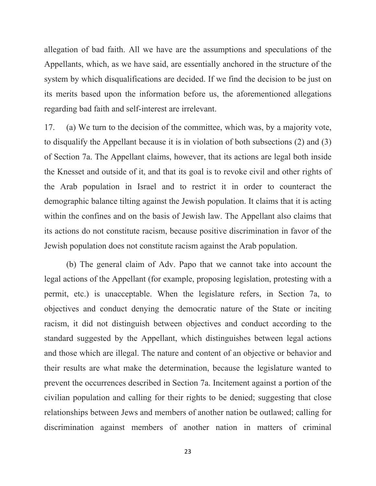allegation of bad faith. All we have are the assumptions and speculations of the Appellants, which, as we have said, are essentially anchored in the structure of the system by which disqualifications are decided. If we find the decision to be just on its merits based upon the information before us, the aforementioned allegations regarding bad faith and self-interest are irrelevant.

17. (a) We turn to the decision of the committee, which was, by a majority vote, to disqualify the Appellant because it is in violation of both subsections (2) and (3) of Section 7a. The Appellant claims, however, that its actions are legal both inside the Knesset and outside of it, and that its goal is to revoke civil and other rights of the Arab population in Israel and to restrict it in order to counteract the demographic balance tilting against the Jewish population. It claims that it is acting within the confines and on the basis of Jewish law. The Appellant also claims that its actions do not constitute racism, because positive discrimination in favor of the Jewish population does not constitute racism against the Arab population.

(b) The general claim of Adv. Papo that we cannot take into account the legal actions of the Appellant (for example, proposing legislation, protesting with a permit, etc.) is unacceptable. When the legislature refers, in Section 7a, to objectives and conduct denying the democratic nature of the State or inciting racism, it did not distinguish between objectives and conduct according to the standard suggested by the Appellant, which distinguishes between legal actions and those which are illegal. The nature and content of an objective or behavior and their results are what make the determination, because the legislature wanted to prevent the occurrences described in Section 7a. Incitement against a portion of the civilian population and calling for their rights to be denied; suggesting that close relationships between Jews and members of another nation be outlawed; calling for discrimination against members of another nation in matters of criminal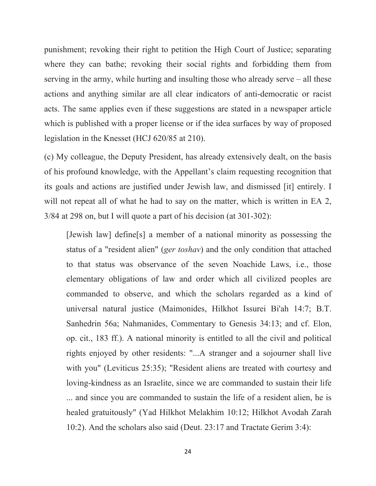punishment; revoking their right to petition the High Court of Justice; separating where they can bathe; revoking their social rights and forbidding them from serving in the army, while hurting and insulting those who already serve – all these actions and anything similar are all clear indicators of anti-democratic or racist acts. The same applies even if these suggestions are stated in a newspaper article which is published with a proper license or if the idea surfaces by way of proposed legislation in the Knesset (HCJ 620/85 at 210).

(c) My colleague, the Deputy President, has already extensively dealt, on the basis of his profound knowledge, with the Appellant's claim requesting recognition that its goals and actions are justified under Jewish law, and dismissed [it] entirely. I will not repeat all of what he had to say on the matter, which is written in EA 2, 3/84 at 298 on, but I will quote a part of his decision (at 301-302):

[Jewish law] define[s] a member of a national minority as possessing the status of a "resident alien" (*ger toshav*) and the only condition that attached to that status was observance of the seven Noachide Laws, i.e., those elementary obligations of law and order which all civilized peoples are commanded to observe, and which the scholars regarded as a kind of universal natural justice (Maimonides, Hilkhot Issurei Bi'ah 14:7; B.T. Sanhedrin 56a; Nahmanides, Commentary to Genesis 34:13; and cf. Elon, op. cit., 183 ff.). A national minority is entitled to all the civil and political rights enjoyed by other residents: "...A stranger and a sojourner shall live with you" (Leviticus 25:35); "Resident aliens are treated with courtesy and loving-kindness as an Israelite, since we are commanded to sustain their life ... and since you are commanded to sustain the life of a resident alien, he is healed gratuitously" (Yad Hilkhot Melakhim 10:12; Hilkhot Avodah Zarah 10:2). And the scholars also said (Deut. 23:17 and Tractate Gerim 3:4):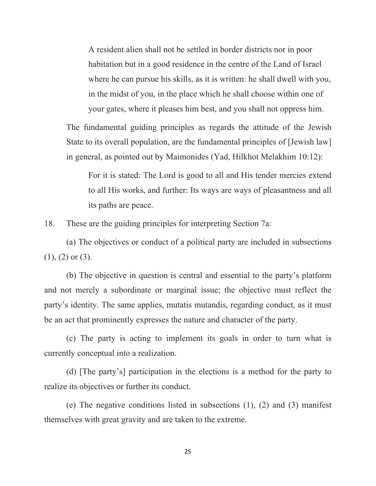A resident alien shall not be settled in border districts nor in poor habitation but in a good residence in the centre of the Land of Israel where he can pursue his skills, as it is written: he shall dwell with you, in the midst of you, in the place which he shall choose within one of your gates, where it pleases him best, and you shall not oppress him.

The fundamental guiding principles as regards the attitude of the Jewish State to its overall population, are the fundamental principles of [Jewish law] in general, as pointed out by Maimonides (Yad, Hilkhot Melakhim 10:12):

For it is stated: The Lord is good to all and His tender mercies extend to all His works, and further: Its ways are ways of pleasantness and all its paths are peace.

18. These are the guiding principles for interpreting Section 7a:

(a) The objectives or conduct of a political party are included in subsections  $(1), (2)$  or  $(3)$ .

(b) The objective in question is central and essential to the party's platform and not merely a subordinate or marginal issue; the objective must reflect the party's identity. The same applies, mutatis mutandis, regarding conduct, as it must be an act that prominently expresses the nature and character of the party.

(c) The party is acting to implement its goals in order to turn what is currently conceptual into a realization.

(d) [The party's] participation in the elections is a method for the party to realize its objectives or further its conduct.

(e) The negative conditions listed in subsections (1), (2) and (3) manifest themselves with great gravity and are taken to the extreme.

25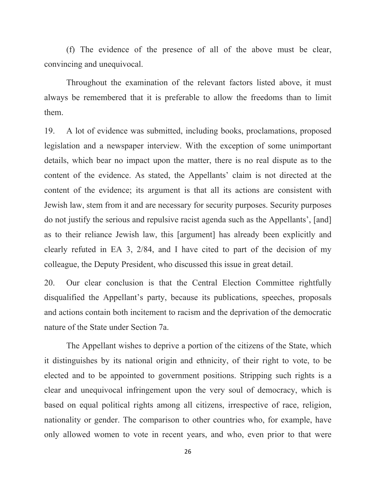(f) The evidence of the presence of all of the above must be clear, convincing and unequivocal.

Throughout the examination of the relevant factors listed above, it must always be remembered that it is preferable to allow the freedoms than to limit them.

19. A lot of evidence was submitted, including books, proclamations, proposed legislation and a newspaper interview. With the exception of some unimportant details, which bear no impact upon the matter, there is no real dispute as to the content of the evidence. As stated, the Appellants' claim is not directed at the content of the evidence; its argument is that all its actions are consistent with Jewish law, stem from it and are necessary for security purposes. Security purposes do not justify the serious and repulsive racist agenda such as the Appellants', [and] as to their reliance Jewish law, this [argument] has already been explicitly and clearly refuted in EA 3, 2/84, and I have cited to part of the decision of my colleague, the Deputy President, who discussed this issue in great detail.

20. Our clear conclusion is that the Central Election Committee rightfully disqualified the Appellant's party, because its publications, speeches, proposals and actions contain both incitement to racism and the deprivation of the democratic nature of the State under Section 7a.

The Appellant wishes to deprive a portion of the citizens of the State, which it distinguishes by its national origin and ethnicity, of their right to vote, to be elected and to be appointed to government positions. Stripping such rights is a clear and unequivocal infringement upon the very soul of democracy, which is based on equal political rights among all citizens, irrespective of race, religion, nationality or gender. The comparison to other countries who, for example, have only allowed women to vote in recent years, and who, even prior to that were